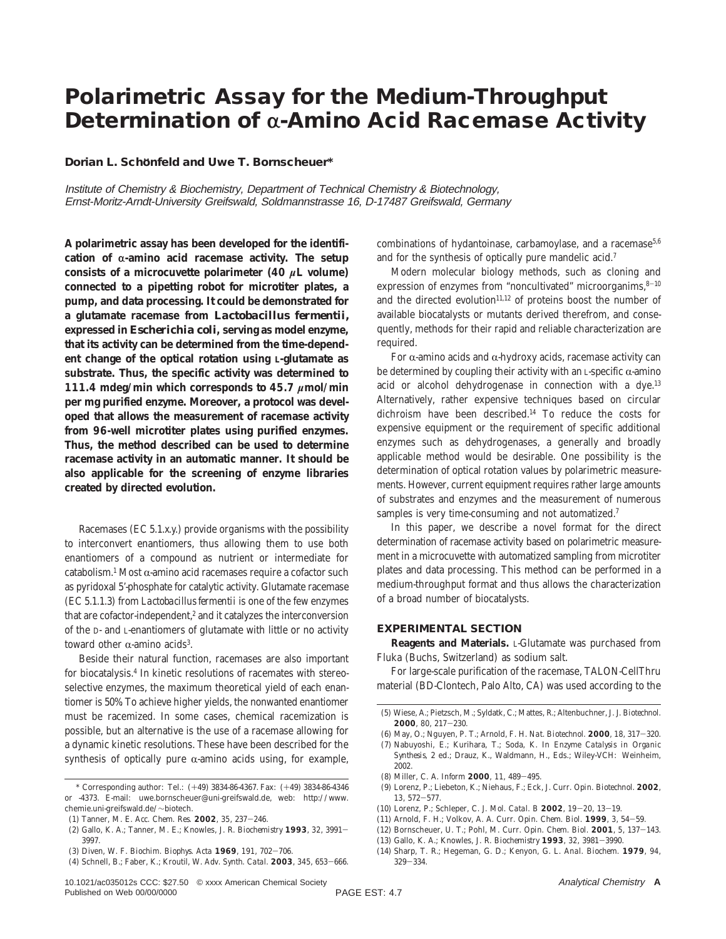# **Polarimetric Assay for the Medium-Throughput Determination of α-Amino Acid Racemase Activity**

**Dorian L. Scho**1**nfeld and Uwe T. Bornscheuer\***

Institute of Chemistry & Biochemistry, Department of Technical Chemistry & Biotechnology, Ernst-Moritz-Arndt-University Greifswald, Soldmannstrasse 16, D-17487 Greifswald, Germany

**A polarimetric assay has been developed for the identifi** $cation of  $\alpha$ -amino acid racemase activity. The setup$ **consists of a microcuvette polarimeter (40** *µ***L volume) connected to a pipetting robot for microtiter plates, a pump, and data processing. It could be demonstrated for a glutamate racemase from** *Lactobacillus fermentii,* **expressed in** *Escherichia coli***, serving as model enzyme, that its activity can be determined from the time-dependent change of the optical rotation using L-glutamate as substrate. Thus, the specific activity was determined to 111.4 mdeg/min which corresponds to 45.7** *µ***mol/min per mg purified enzyme. Moreover, a protocol was developed that allows the measurement of racemase activity from 96-well microtiter plates using purified enzymes. Thus, the method described can be used to determine racemase activity in an automatic manner. It should be also applicable for the screening of enzyme libraries created by directed evolution.**

Racemases (EC 5.1.*x*.*y*.) provide organisms with the possibility to interconvert enantiomers, thus allowing them to use both enantiomers of a compound as nutrient or intermediate for catabolism.<sup>1</sup> Most  $\alpha$ -amino acid racemases require a cofactor such as pyridoxal 5'-phosphate for catalytic activity. Glutamate racemase (EC 5.1.1.3) from *Lactobacillus fermentii* is one of the few enzymes that are cofactor-independent, $2$  and it catalyzes the interconversion of the D- and L-enantiomers of glutamate with little or no activity toward other  $\alpha$ -amino acids<sup>3</sup>.

Beside their natural function, racemases are also important for biocatalysis.4 In kinetic resolutions of racemates with stereoselective enzymes, the maximum theoretical yield of each enantiomer is 50%. To achieve higher yields, the nonwanted enantiomer must be racemized. In some cases, chemical racemization is possible, but an alternative is the use of a racemase allowing for a dynamic kinetic resolutions. These have been described for the synthesis of optically pure  $\alpha$ -amino acids using, for example,

- (2) Gallo, K. A.; Tanner, M. E.; Knowles, J. R. *Biochemistry* **<sup>1993</sup>**, *<sup>32</sup>*, 3991- 3997.
- (3) Diven, W. F. *Biochim. Biophys. Acta* **<sup>1969</sup>**, *<sup>191</sup>*, 702-706.

combinations of hydantoinase, carbamoylase, and a racemase<sup>5,6</sup> and for the synthesis of optically pure mandelic acid.7

Modern molecular biology methods, such as cloning and expression of enzymes from "noncultivated" microorganims, $8-10$ and the directed evolution $11,12$  of proteins boost the number of available biocatalysts or mutants derived therefrom, and consequently, methods for their rapid and reliable characterization are required.

For  $\alpha$ -amino acids and  $\alpha$ -hydroxy acids, racemase activity can be determined by coupling their activity with an L-specific  $\alpha$ -amino acid or alcohol dehydrogenase in connection with a dye.<sup>13</sup> Alternatively, rather expensive techniques based on circular dichroism have been described.14 To reduce the costs for expensive equipment or the requirement of specific additional enzymes such as dehydrogenases, a generally and broadly applicable method would be desirable. One possibility is the determination of optical rotation values by polarimetric measurements. However, current equipment requires rather large amounts of substrates and enzymes and the measurement of numerous samples is very time-consuming and not automatized.<sup>7</sup>

In this paper, we describe a novel format for the direct determination of racemase activity based on polarimetric measurement in a microcuvette with automatized sampling from microtiter plates and data processing. This method can be performed in a medium-throughput format and thus allows the characterization of a broad number of biocatalysts.

## **EXPERIMENTAL SECTION**

**Reagents and Materials.** L-Glutamate was purchased from Fluka (Buchs, Switzerland) as sodium salt.

For large-scale purification of the racemase, TALON-CellThru material (BD-Clontech, Palo Alto, CA) was used according to the

- *Synthesis,* 2 ed.; Drauz, K., Waldmann, H., Eds.; Wiley-VCH: Weinheim, 2002.
- (8) Miller, C. A. *Inform* **<sup>2000</sup>**, *<sup>11</sup>*, 489-495.
- (9) Lorenz, P.; Liebeton, K.; Niehaus, F.; Eck, J. *Curr. Opin. Biotechnol.* **2002**, *<sup>13</sup>*, 572-577.
- (10) Lorenz, P.; Schleper, C. *J. Mol. Catal. B* **<sup>2002</sup>**, *<sup>19</sup>*-*20*, 13-19.
- (11) Arnold, F. H.; Volkov, A. A. *Curr. Opin. Chem. Biol.* **<sup>1999</sup>**, *<sup>3</sup>*, 54-59.
- (12) Bornscheuer, U. T.; Pohl, M. *Curr. Opin. Chem. Biol.* **<sup>2001</sup>**, *<sup>5</sup>*, 137-143.
- (13) Gallo, K. A.; Knowles, J. R. *Biochemistry* **<sup>1993</sup>**, *<sup>32</sup>*, 3981-3990.
- (14) Sharp, T. R.; Hegeman, G. D.; Kenyon, G. L. *Anal. Biochem.* **1979**, *94*, <sup>329</sup>-334.

<sup>\*</sup> Corresponding author: Tel.: (+49) 3834-86-4367. Fax: (+49) 3834-86-4346 or -4373. E-mail: uwe.bornscheuer@uni-greifswald.de, web: http://www. chemie.uni-greifswald.de/∼biotech.

<sup>(1)</sup> Tanner, M. E. *Acc. Chem. Res.* **<sup>2002</sup>**, *<sup>35</sup>*, 237-246.

<sup>(4)</sup> Schnell, B.; Faber, K.; Kroutil, W. *Adv. Synth. Catal.* **<sup>2003</sup>**, *<sup>345</sup>*, 653-666.

<sup>(5)</sup> Wiese, A.; Pietzsch, M.; Syldatk, C.; Mattes, R.; Altenbuchner, J. *J. Biotechnol.* **<sup>2000</sup>**, *<sup>80</sup>*, 217-230.

<sup>(6)</sup> May, O.; Nguyen, P. T.; Arnold, F. H. *Nat. Biotechnol.* **<sup>2000</sup>**, *<sup>18</sup>*, 317-320. (7) Nabuyoshi, E.; Kurihara, T.; Soda, K. In *Enzyme Catalysis in Organic*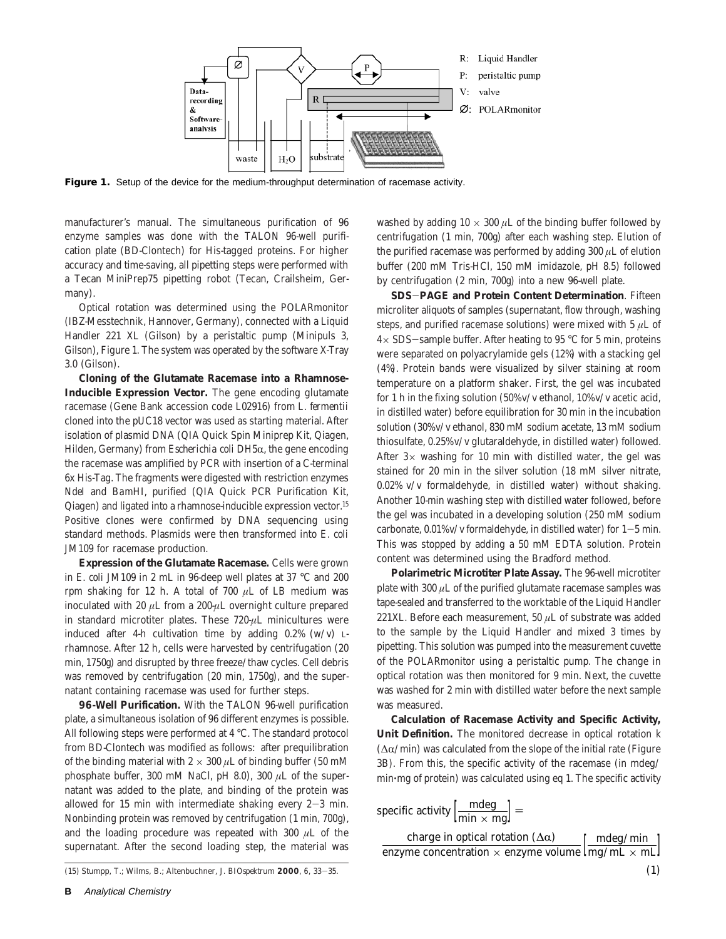

Figure 1. Setup of the device for the medium-throughput determination of racemase activity.

manufacturer's manual. The simultaneous purification of 96 enzyme samples was done with the TALON 96-well purification plate (BD-Clontech) for His-tagged proteins. For higher accuracy and time-saving, all pipetting steps were performed with a Tecan MiniPrep75 pipetting robot (Tecan, Crailsheim, Germany).

Optical rotation was determined using the POLARmonitor (IBZ-Messtechnik, Hannover, Germany), connected with a Liquid Handler 221 XL (Gilson) by a peristaltic pump (Minipuls 3, Gilson), Figure 1. The system was operated by the software X-Tray 3.0 (Gilson).

**Cloning of the Glutamate Racemase into a Rhamnose-Inducible Expression Vector.** The gene encoding glutamate racemase (Gene Bank accession code L02916) from *L. fermentii* cloned into the pUC18 vector was used as starting material. After isolation of plasmid DNA (QIA Quick Spin Miniprep Kit, Qiagen, Hilden, Germany) from *Escherichia coli* DH5α, the gene encoding the racemase was amplified by PCR with insertion of a C-terminal 6x His-Tag. The fragments were digested with restriction enzymes *Nde*I and *Bam*HI, purified (QIA Quick PCR Purification Kit, Qiagen) and ligated into a rhamnose-inducible expression vector.15 Positive clones were confirmed by DNA sequencing using standard methods. Plasmids were then transformed into *E. coli* JM109 for racemase production.

**Expression of the Glutamate Racemase.** Cells were grown in *E. coli* JM109 in 2 mL in 96-deep well plates at 37 °C and 200 rpm shaking for 12 h. A total of 700 *µ*L of LB medium was inoculated with 20 *µ*L from a 200-*µ*L overnight culture prepared in standard microtiter plates. These 720-*µ*L minicultures were induced after 4-h cultivation time by adding  $0.2\%$  (w/v) Lrhamnose. After 12 h, cells were harvested by centrifugation (20 min, 1750*g*) and disrupted by three freeze/thaw cycles. Cell debris was removed by centrifugation (20 min, 1750*g*), and the supernatant containing racemase was used for further steps.

**96-Well Purification.** With the TALON 96-well purification plate, a simultaneous isolation of 96 different enzymes is possible. All following steps were performed at 4 °C. The standard protocol from BD-Clontech was modified as follows: after prequilibration of the binding material with  $2 \times 300 \mu$ L of binding buffer (50 mM phosphate buffer, 300 mM NaCl, pH 8.0), 300 *µ*L of the supernatant was added to the plate, and binding of the protein was allowed for 15 min with intermediate shaking every  $2-3$  min. Nonbinding protein was removed by centrifugation (1 min, 700*g*), and the loading procedure was repeated with 300 *µ*L of the supernatant. After the second loading step, the material was

(15) Stumpp, T.; Wilms, B.; Altenbuchner, J. *BIOspektrum* **<sup>2000</sup>**, *<sup>6</sup>*, 33-35.

washed by adding  $10 \times 300 \mu$ L of the binding buffer followed by centrifugation (1 min, 700*g*) after each washing step. Elution of the purified racemase was performed by adding 300 *µ*L of elution buffer (200 mM Tris-HCl, 150 mM imidazole, pH 8.5) followed by centrifugation (2 min, 700*g*) into a new 96-well plate.

**SDS**-**PAGE and Protein Content Determination**. Fifteen microliter aliquots of samples (supernatant, flow through, washing steps, and purified racemase solutions) were mixed with 5 *µ*L of  $4\times$  SDS-sample buffer. After heating to 95 °C for 5 min, proteins were separated on polyacrylamide gels (12%) with a stacking gel (4%). Protein bands were visualized by silver staining at room temperature on a platform shaker. First, the gel was incubated for 1 h in the fixing solution (50% v/v ethanol, 10% v/v acetic acid, in distilled water) before equilibration for 30 min in the incubation solution (30% v/v ethanol, 830 mM sodium acetate, 13 mM sodium thiosulfate, 0.25% v/v glutaraldehyde, in distilled water) followed. After  $3\times$  washing for 10 min with distilled water, the gel was stained for 20 min in the silver solution (18 mM silver nitrate, 0.02% v/v formaldehyde, in distilled water) without shaking. Another 10-min washing step with distilled water followed, before the gel was incubated in a developing solution (250 mM sodium carbonate,  $0.01\%$  v/v formaldehyde, in distilled water) for  $1-5$  min. This was stopped by adding a 50 mM EDTA solution. Protein content was determined using the Bradford method.

**Polarimetric Microtiter Plate Assay.** The 96-well microtiter plate with  $300 \mu L$  of the purified glutamate racemase samples was tape-sealed and transferred to the worktable of the Liquid Handler 221XL. Before each measurement, 50 *µ*L of substrate was added to the sample by the Liquid Handler and mixed 3 times by pipetting. This solution was pumped into the measurement cuvette of the POLARmonitor using a peristaltic pump. The change in optical rotation was then monitored for 9 min. Next, the cuvette was washed for 2 min with distilled water before the next sample was measured.

**Calculation of Racemase Activity and Specific Activity, Unit Definition.** The monitored decrease in optical rotation *k*  $(\Delta \alpha / \text{min})$  was calculated from the slope of the initial rate (Figure 3B). From this, the specific activity of the racemase (in mdeg/ min'mg of protein) was calculated using eq 1. The specific activity

| specific activity $\left[\frac{\text{mdeg}}{\text{min} \times \text{mg}}\right] =$ |            |
|------------------------------------------------------------------------------------|------------|
| charge in optical rotation $(\Delta \alpha)$                                       | mdeg/min ] |
| enzyme concentration $\times$ enzyme volume $\left[\frac{mg}{mL} \times mL\right]$ |            |
|                                                                                    |            |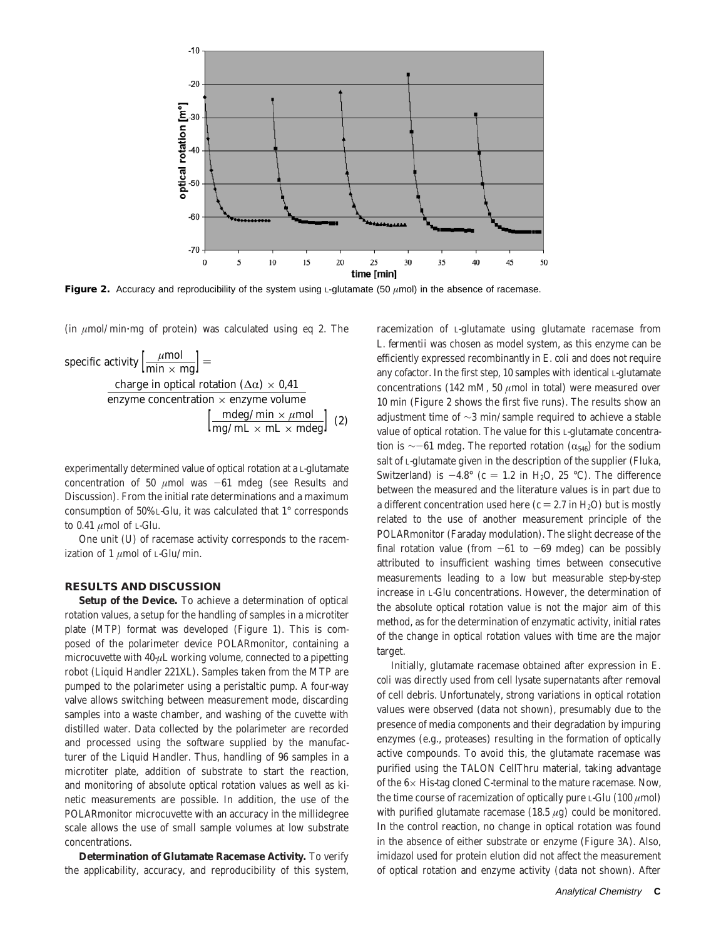

**Figure 2.** Accuracy and reproducibility of the system using L-glutamate (50 *µ*mol) in the absence of racemase.

(in *<sup>µ</sup>*mol/min'mg of protein) was calculated using eq 2. The

specific activity 
$$
\left[\frac{\mu \text{mol}}{\text{min} \times \text{mg}}\right] =
$$
  
\ncharge in optical rotation ( $\Delta \alpha$ ) × 0.41  
\nenzyme concentration × enzyme volume  
\n $\left[\frac{\text{mdeg/min} \times \mu \text{mol}}{\text{mg/mL} \times \text{mL} \times \text{mdeg}}\right]$  (2)

experimentally determined value of optical rotation at a L-glutamate concentration of 50  $\mu$ mol was  $-61$  mdeg (see Results and Discussion). From the initial rate determinations and a maximum consumption of 50% L-Glu, it was calculated that 1° corresponds to 0.41 *µ*mol of L-Glu.

One unit (U) of racemase activity corresponds to the racemization of 1 *µ*mol of L-Glu/min.

# **RESULTS AND DISCUSSION**

**Setup of the Device.** To achieve a determination of optical rotation values, a setup for the handling of samples in a microtiter plate (MTP) format was developed (Figure 1). This is composed of the polarimeter device POLARmonitor, containing a microcuvette with 40-*µ*L working volume, connected to a pipetting robot (Liquid Handler 221XL). Samples taken from the MTP are pumped to the polarimeter using a peristaltic pump. A four-way valve allows switching between measurement mode, discarding samples into a waste chamber, and washing of the cuvette with distilled water. Data collected by the polarimeter are recorded and processed using the software supplied by the manufacturer of the Liquid Handler. Thus, handling of 96 samples in a microtiter plate, addition of substrate to start the reaction, and monitoring of absolute optical rotation values as well as kinetic measurements are possible. In addition, the use of the POLARmonitor microcuvette with an accuracy in the millidegree scale allows the use of small sample volumes at low substrate concentrations.

**Determination of Glutamate Racemase Activity.** To verify the applicability, accuracy, and reproducibility of this system, racemization of L-glutamate using glutamate racemase from *L. fermentii* was chosen as model system, as this enzyme can be efficiently expressed recombinantly in *E. coli* and does not require any cofactor. In the first step, 10 samples with identical L-glutamate concentrations (142 mM, 50  $\mu$ mol in total) were measured over 10 min (Figure 2 shows the first five runs). The results show an adjustment time of ∼3 min/sample required to achieve a stable value of optical rotation. The value for this L-glutamate concentration is ∼-61 mdeg. The reported rotation ( $\alpha_{546}$ ) for the sodium salt of L-glutamate given in the description of the supplier (Fluka, Switzerland) is  $-4.8^{\circ}$  ( $c = 1.2$  in H<sub>2</sub>O, 25 °C). The difference between the measured and the literature values is in part due to a different concentration used here ( $c = 2.7$  in H<sub>2</sub>O) but is mostly related to the use of another measurement principle of the POLARmonitor (Faraday modulation). The slight decrease of the final rotation value (from  $-61$  to  $-69$  mdeg) can be possibly attributed to insufficient washing times between consecutive measurements leading to a low but measurable step-by-step increase in L-Glu concentrations. However, the determination of the absolute optical rotation value is not the major aim of this method, as for the determination of enzymatic activity, initial rates of the change in optical rotation values with time are the major target.

Initially, glutamate racemase obtained after expression in *E. coli* was directly used from cell lysate supernatants after removal of cell debris. Unfortunately, strong variations in optical rotation values were observed (data not shown), presumably due to the presence of media components and their degradation by impuring enzymes (e.g., proteases) resulting in the formation of optically active compounds. To avoid this, the glutamate racemase was purified using the TALON CellThru material, taking advantage of the  $6\times$  His-tag cloned C-terminal to the mature racemase. Now, the time course of racemization of optically pure L-Glu  $(100 \ \mu \text{mol})$ with purified glutamate racemase (18.5 *µ*g) could be monitored. In the control reaction, no change in optical rotation was found in the absence of either substrate or enzyme (Figure 3A). Also, imidazol used for protein elution did not affect the measurement of optical rotation and enzyme activity (data not shown). After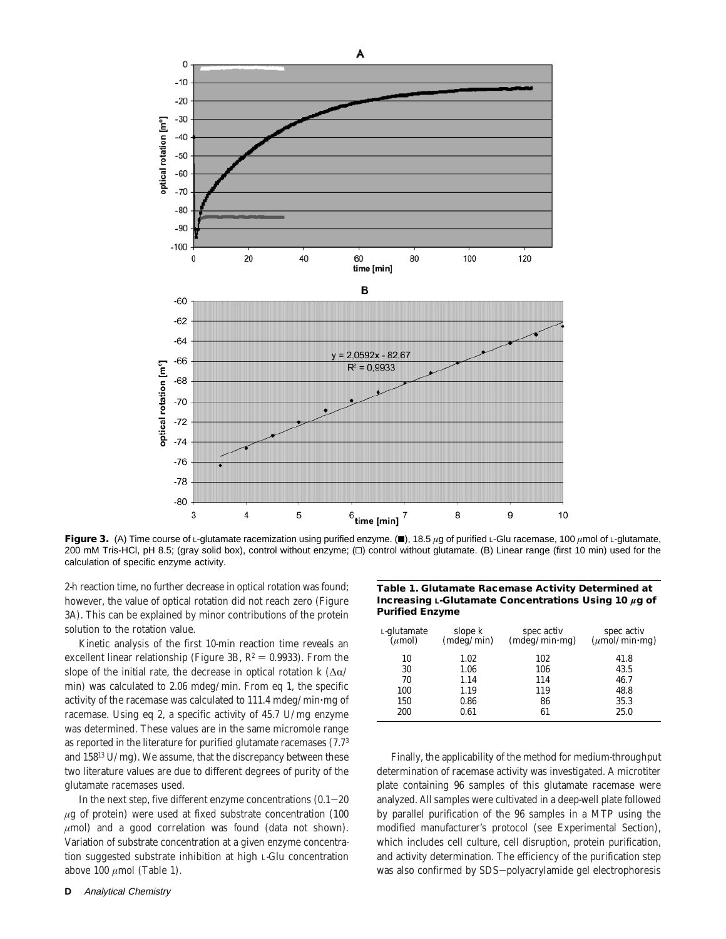

**Figure 3.** (A) Time course of L-glutamate racemization using purified enzyme. (■), 18.5 *µg* of purified L-Glu racemase, 100 *µ*mol of L-glutamate, 200 mM Tris-HCl, pH 8.5; (gray solid box), control without enzyme; ( $\square$ ) control without glutamate. (B) Linear range (first 10 min) used for the calculation of specific enzyme activity.

2-h reaction time, no further decrease in optical rotation was found; however, the value of optical rotation did not reach zero (Figure 3A). This can be explained by minor contributions of the protein solution to the rotation value.

Kinetic analysis of the first 10-min reaction time reveals an excellent linear relationship (Figure 3B,  $R^2 = 0.9933$ ). From the slope of the initial rate, the decrease in optical rotation  $k$  ( $\Delta \alpha$ / min) was calculated to 2.06 mdeg/min. From eq 1, the specific activity of the racemase was calculated to 111.4 mdeg/min'mg of racemase. Using eq 2, a specific activity of 45.7 U/mg enzyme was determined. These values are in the same micromole range as reported in the literature for purified glutamate racemases (7.73 and 15813 U/mg). We assume, that the discrepancy between these two literature values are due to different degrees of purity of the glutamate racemases used.

In the next step, five different enzyme concentrations  $(0.1-20)$ *µ*g of protein) were used at fixed substrate concentration (100 *µ*mol) and a good correlation was found (data not shown). Variation of substrate concentration at a given enzyme concentration suggested substrate inhibition at high L-Glu concentration above 100 *µ*mol (Table 1).

#### **Table 1. Glutamate Racemase Activity Determined at Increasing L-Glutamate Concentrations Using 10** *µ***g of Purified Enzyme**

| L-glutamate<br>$(\mu$ mol) | slope $k$<br>(mdeg/min) | spec activ<br>(mdeg/min·mg) | spec activ<br>$(\mu \hat{\text{mol}}/ \text{min} \cdot \text{mg})$ |
|----------------------------|-------------------------|-----------------------------|--------------------------------------------------------------------|
| 10                         | 1.02                    | 102                         | 41.8                                                               |
| 30                         | 1.06                    | 106                         | 43.5                                                               |
| 70                         | 1.14                    | 114                         | 46.7                                                               |
| 100                        | 1.19                    | 119                         | 48.8                                                               |
| 150                        | 0.86                    | 86                          | 35.3                                                               |
| 200                        | 0.61                    | 61                          | 25.0                                                               |

Finally, the applicability of the method for medium-throughput determination of racemase activity was investigated. A microtiter plate containing 96 samples of this glutamate racemase were analyzed. All samples were cultivated in a deep-well plate followed by parallel purification of the 96 samples in a MTP using the modified manufacturer's protocol (see Experimental Section), which includes cell culture, cell disruption, protein purification, and activity determination. The efficiency of the purification step was also confirmed by SDS-polyacrylamide gel electrophoresis